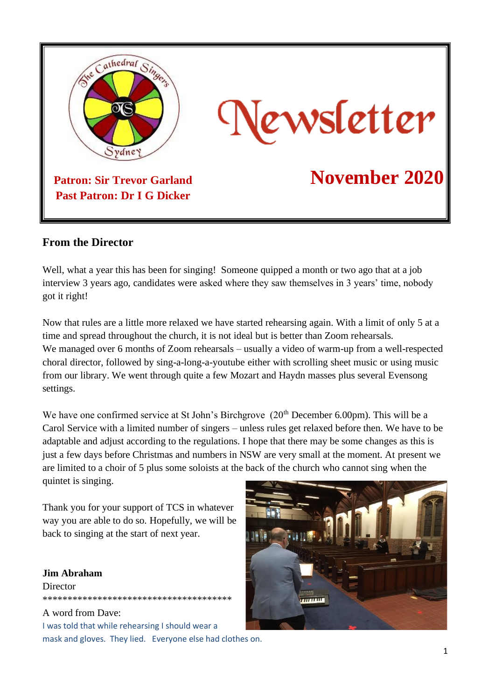

#### **From the Director**

Well, what a year this has been for singing! Someone quipped a month or two ago that at a job interview 3 years ago, candidates were asked where they saw themselves in 3 years' time, nobody got it right!

Now that rules are a little more relaxed we have started rehearsing again. With a limit of only 5 at a time and spread throughout the church, it is not ideal but is better than Zoom rehearsals. We managed over 6 months of Zoom rehearsals – usually a video of warm-up from a well-respected choral director, followed by sing-a-long-a-youtube either with scrolling sheet music or using music from our library. We went through quite a few Mozart and Haydn masses plus several Evensong settings.

We have one confirmed service at St John's Birchgrove  $(20<sup>th</sup>$  December 6.00pm). This will be a Carol Service with a limited number of singers – unless rules get relaxed before then. We have to be adaptable and adjust according to the regulations. I hope that there may be some changes as this is just a few days before Christmas and numbers in NSW are very small at the moment. At present we are limited to a choir of 5 plus some soloists at the back of the church who cannot sing when the quintet is singing.

Thank you for your support of TCS in whatever way you are able to do so. Hopefully, we will be back to singing at the start of next year.

#### **Jim Abraham Director** \*\*\*\*\*\*\*\*\*\*\*\*\*\*\*\*\*\*\*\*\*\*\*\*\*\*\*\*\*\*\*\*\*\*\*\*\*\*

#### A word from Dave:

I was told that while rehearsing I should wear a mask and gloves. They lied. Everyone else had clothes on.

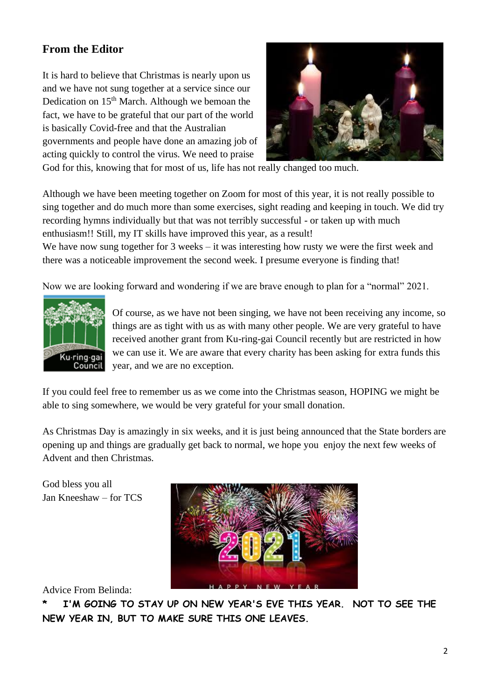## **From the Editor**

It is hard to believe that Christmas is nearly upon us and we have not sung together at a service since our Dedication on  $15<sup>th</sup>$  March. Although we bemoan the fact, we have to be grateful that our part of the world is basically Covid-free and that the Australian governments and people have done an amazing job of acting quickly to control the virus. We need to praise



God for this, knowing that for most of us, life has not really changed too much.

Although we have been meeting together on Zoom for most of this year, it is not really possible to sing together and do much more than some exercises, sight reading and keeping in touch. We did try recording hymns individually but that was not terribly successful - or taken up with much enthusiasm!! Still, my IT skills have improved this year, as a result!

We have now sung together for 3 weeks – it was interesting how rusty we were the first week and there was a noticeable improvement the second week. I presume everyone is finding that!

Now we are looking forward and wondering if we are brave enough to plan for a "normal" 2021.



Of course, as we have not been singing, we have not been receiving any income, so things are as tight with us as with many other people. We are very grateful to have received another grant from Ku-ring-gai Council recently but are restricted in how we can use it. We are aware that every charity has been asking for extra funds this year, and we are no exception.

If you could feel free to remember us as we come into the Christmas season, HOPING we might be able to sing somewhere, we would be very grateful for your small donation.

As Christmas Day is amazingly in six weeks, and it is just being announced that the State borders are opening up and things are gradually get back to normal, we hope you enjoy the next few weeks of Advent and then Christmas.

God bless you all Jan Kneeshaw – for TCS



Advice From Belinda:

**\* I'M GOING TO STAY UP ON NEW YEAR'S EVE THIS YEAR. NOT TO SEE THE NEW YEAR IN, BUT TO MAKE SURE THIS ONE LEAVES.**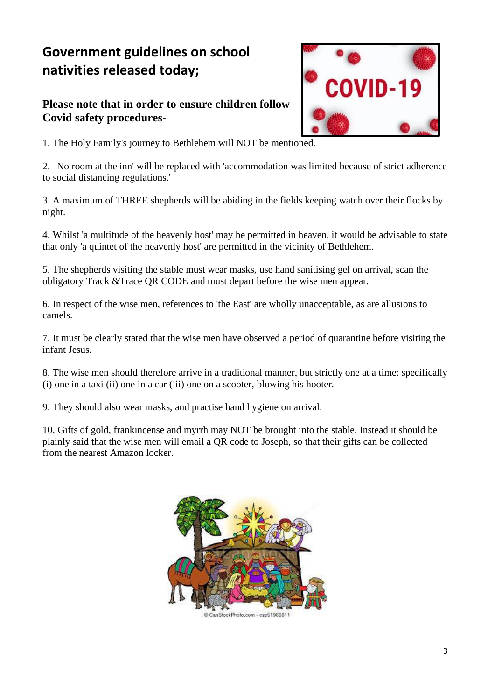# **Government guidelines on school nativities released today;**

### **Please note that in order to ensure children follow Covid safety procedures-**



1. The Holy Family's journey to Bethlehem will NOT be mentioned.

2. 'No room at the inn' will be replaced with 'accommodation was limited because of strict adherence to social distancing regulations.'

3. A maximum of THREE shepherds will be abiding in the fields keeping watch over their flocks by night.

4. Whilst 'a multitude of the heavenly host' may be permitted in heaven, it would be advisable to state that only 'a quintet of the heavenly host' are permitted in the vicinity of Bethlehem.

5. The shepherds visiting the stable must wear masks, use hand sanitising gel on arrival, scan the obligatory Track &Trace QR CODE and must depart before the wise men appear.

6. In respect of the wise men, references to 'the East' are wholly unacceptable, as are allusions to camels.

7. It must be clearly stated that the wise men have observed a period of quarantine before visiting the infant Jesus.

8. The wise men should therefore arrive in a traditional manner, but strictly one at a time: specifically (i) one in a taxi (ii) one in a car (iii) one on a scooter, blowing his hooter.

9. They should also wear masks, and practise hand hygiene on arrival.

10. Gifts of gold, frankincense and myrrh may NOT be brought into the stable. Instead it should be plainly said that the wise men will email a QR code to Joseph, so that their gifts can be collected from the nearest Amazon locker.